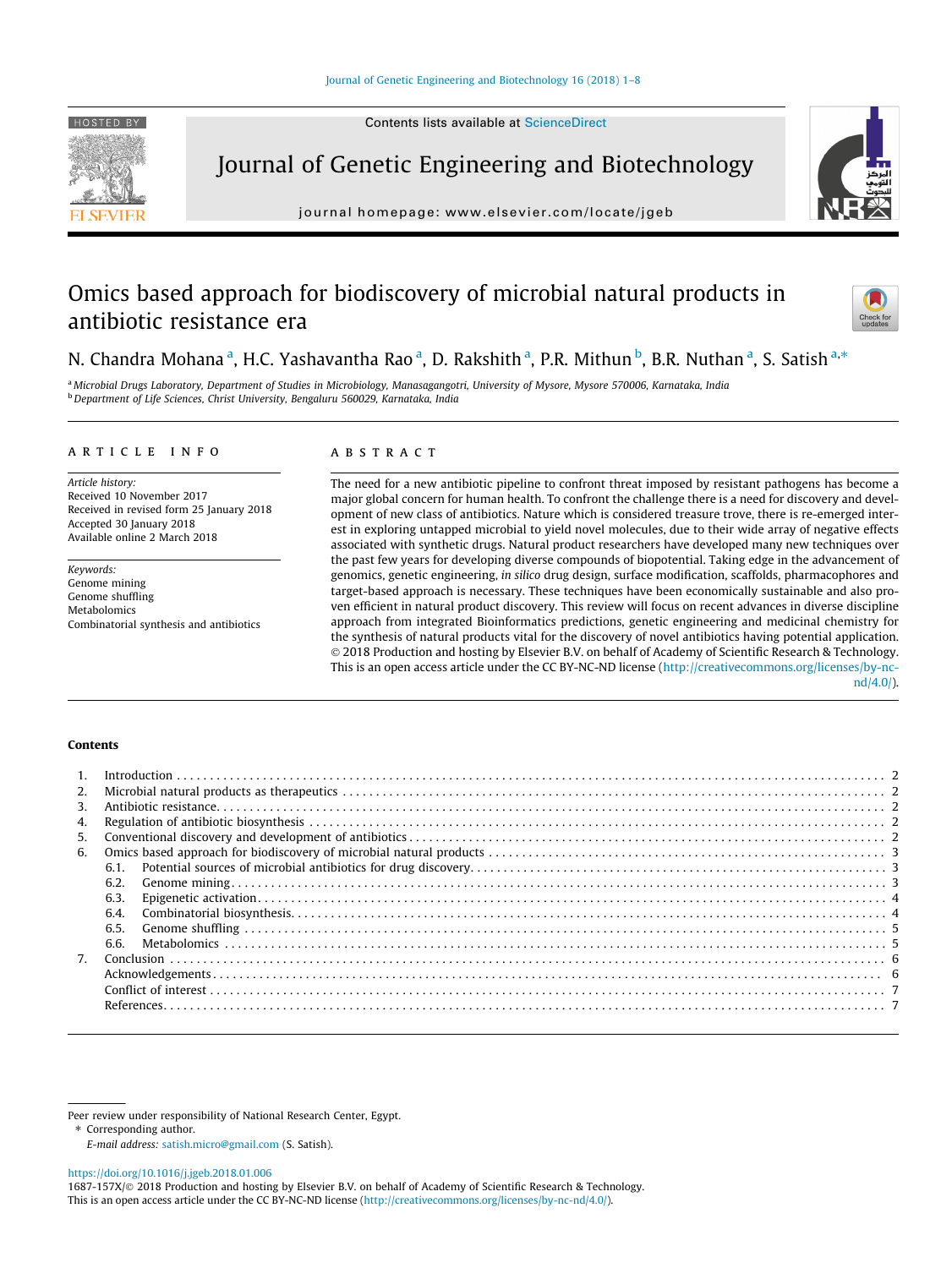

Journal of Genetic Engineering and Biotechnology

journal homepage: [www.elsevier.com/locate/jgeb](http://www.elsevier.com/locate/jgeb)

# Omics based approach for biodiscovery of microbial natural products in antibiotic resistance era





# N. Chandra Mohana <sup>a</sup>, H.C. Yashavantha Rao <sup>a</sup>, D. Rakshith <sup>a</sup>, P.R. Mithun <sup>b</sup>, B.R. Nuthan <sup>a</sup>, S. Satish <sup>a,</sup>\*

<sup>a</sup> Microbial Drugs Laboratory, Department of Studies in Microbiology, Manasagangotri, University of Mysore, Mysore 570006, Karnataka, India **b** Department of Life Sciences, Christ University, Bengaluru 560029, Karnataka, India

### article info

Article history: Received 10 November 2017 Received in revised form 25 January 2018 Accepted 30 January 2018 Available online 2 March 2018

Keywords: Genome mining Genome shuffling **Metabolomics** Combinatorial synthesis and antibiotics

## ABSTRACT

The need for a new antibiotic pipeline to confront threat imposed by resistant pathogens has become a major global concern for human health. To confront the challenge there is a need for discovery and development of new class of antibiotics. Nature which is considered treasure trove, there is re-emerged interest in exploring untapped microbial to yield novel molecules, due to their wide array of negative effects associated with synthetic drugs. Natural product researchers have developed many new techniques over the past few years for developing diverse compounds of biopotential. Taking edge in the advancement of genomics, genetic engineering, in silico drug design, surface modification, scaffolds, pharmacophores and target-based approach is necessary. These techniques have been economically sustainable and also proven efficient in natural product discovery. This review will focus on recent advances in diverse discipline approach from integrated Bioinformatics predictions, genetic engineering and medicinal chemistry for the synthesis of natural products vital for the discovery of novel antibiotics having potential application. 2018 Production and hosting by Elsevier B.V. on behalf of Academy of Scientific Research & Technology. This is an open access article under the CC BY-NC-ND license [\(http://creativecommons.org/licenses/by-nc](http://creativecommons.org/licenses/by-nc-nd/4.0/)[nd/4.0/](http://creativecommons.org/licenses/by-nc-nd/4.0/)).

# Contents

| 1. |      |  |
|----|------|--|
| 2. |      |  |
| 3. |      |  |
| 4. |      |  |
| 5. |      |  |
| 6. |      |  |
|    | 6.1. |  |
|    | 6.2. |  |
|    | 6.3. |  |
|    | 6.4. |  |
|    | 6.5. |  |
|    | 6.6. |  |
| 7. |      |  |
|    |      |  |
|    |      |  |
|    |      |  |
|    |      |  |

Peer review under responsibility of National Research Center, Egypt. ⇑ Corresponding author.

E-mail address: [satish.micro@gmail.com](mailto:satish.micro@gmail.com) (S. Satish).

<https://doi.org/10.1016/j.jgeb.2018.01.006>

1687-157X/@ 2018 Production and hosting by Elsevier B.V. on behalf of Academy of Scientific Research & Technology. This is an open access article under the CC BY-NC-ND license ([http://creativecommons.org/licenses/by-nc-nd/4.0/\)](http://creativecommons.org/licenses/by-nc-nd/4.0/).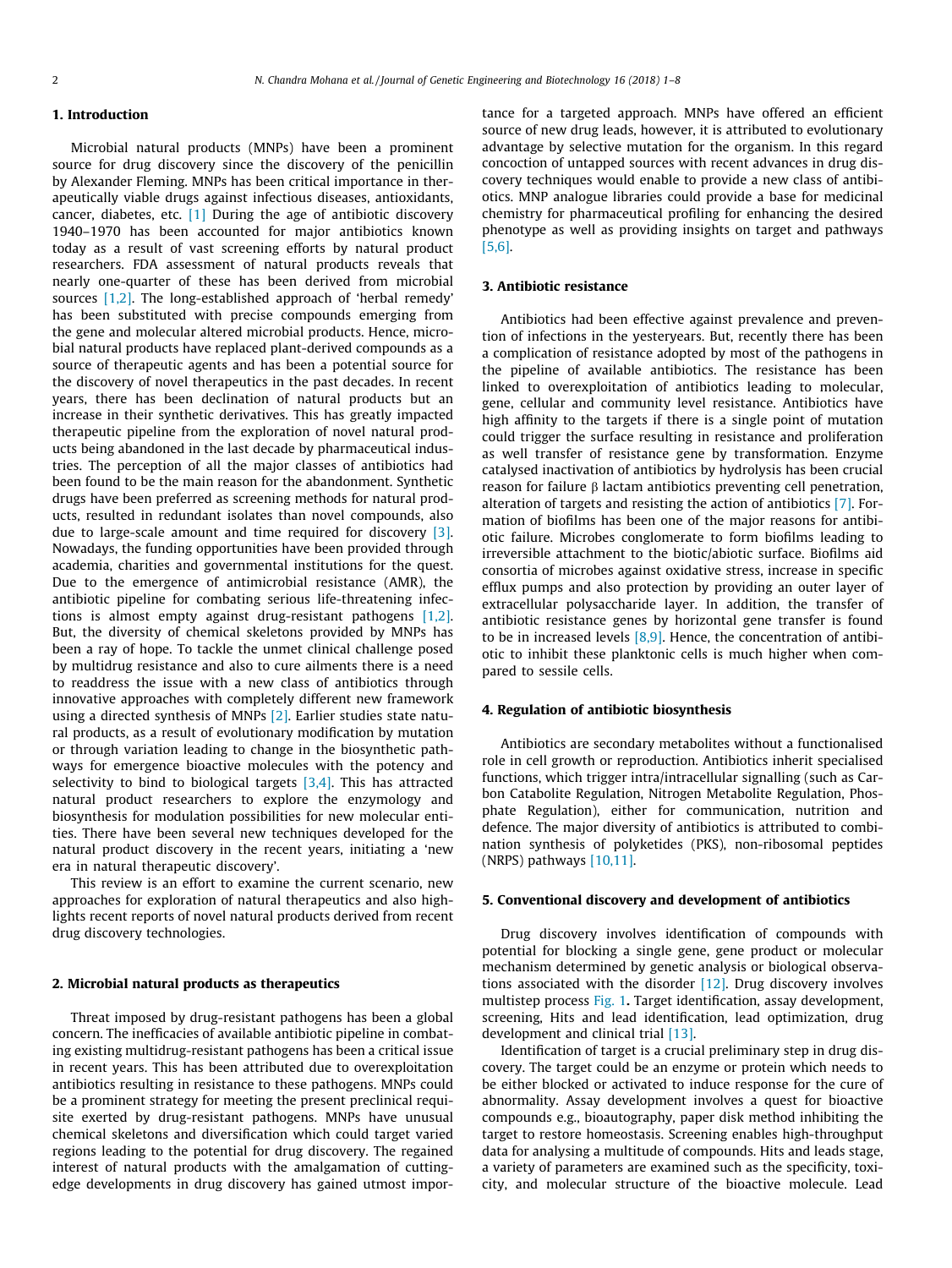# 1. Introduction

Microbial natural products (MNPs) have been a prominent source for drug discovery since the discovery of the penicillin by Alexander Fleming. MNPs has been critical importance in therapeutically viable drugs against infectious diseases, antioxidants, cancer, diabetes, etc.  $\begin{bmatrix} 1 \end{bmatrix}$  During the age of antibiotic discovery 1940–1970 has been accounted for major antibiotics known today as a result of vast screening efforts by natural product researchers. FDA assessment of natural products reveals that nearly one-quarter of these has been derived from microbial sources [\[1,2\]](#page-6-0). The long-established approach of 'herbal remedy' has been substituted with precise compounds emerging from the gene and molecular altered microbial products. Hence, microbial natural products have replaced plant-derived compounds as a source of therapeutic agents and has been a potential source for the discovery of novel therapeutics in the past decades. In recent years, there has been declination of natural products but an increase in their synthetic derivatives. This has greatly impacted therapeutic pipeline from the exploration of novel natural products being abandoned in the last decade by pharmaceutical industries. The perception of all the major classes of antibiotics had been found to be the main reason for the abandonment. Synthetic drugs have been preferred as screening methods for natural products, resulted in redundant isolates than novel compounds, also due to large-scale amount and time required for discovery [\[3\].](#page-6-0) Nowadays, the funding opportunities have been provided through academia, charities and governmental institutions for the quest. Due to the emergence of antimicrobial resistance (AMR), the antibiotic pipeline for combating serious life-threatening infections is almost empty against drug-resistant pathogens [\[1,2\].](#page-6-0) But, the diversity of chemical skeletons provided by MNPs has been a ray of hope. To tackle the unmet clinical challenge posed by multidrug resistance and also to cure ailments there is a need to readdress the issue with a new class of antibiotics through innovative approaches with completely different new framework using a directed synthesis of MNPs [\[2\]](#page-6-0). Earlier studies state natural products, as a result of evolutionary modification by mutation or through variation leading to change in the biosynthetic pathways for emergence bioactive molecules with the potency and selectivity to bind to biological targets  $[3,4]$ . This has attracted natural product researchers to explore the enzymology and biosynthesis for modulation possibilities for new molecular entities. There have been several new techniques developed for the natural product discovery in the recent years, initiating a 'new era in natural therapeutic discovery'.

This review is an effort to examine the current scenario, new approaches for exploration of natural therapeutics and also highlights recent reports of novel natural products derived from recent drug discovery technologies.

# 2. Microbial natural products as therapeutics

Threat imposed by drug-resistant pathogens has been a global concern. The inefficacies of available antibiotic pipeline in combating existing multidrug-resistant pathogens has been a critical issue in recent years. This has been attributed due to overexploitation antibiotics resulting in resistance to these pathogens. MNPs could be a prominent strategy for meeting the present preclinical requisite exerted by drug-resistant pathogens. MNPs have unusual chemical skeletons and diversification which could target varied regions leading to the potential for drug discovery. The regained interest of natural products with the amalgamation of cuttingedge developments in drug discovery has gained utmost importance for a targeted approach. MNPs have offered an efficient source of new drug leads, however, it is attributed to evolutionary advantage by selective mutation for the organism. In this regard concoction of untapped sources with recent advances in drug discovery techniques would enable to provide a new class of antibiotics. MNP analogue libraries could provide a base for medicinal chemistry for pharmaceutical profiling for enhancing the desired phenotype as well as providing insights on target and pathways [\[5,6\]](#page-6-0).

# 3. Antibiotic resistance

Antibiotics had been effective against prevalence and prevention of infections in the yesteryears. But, recently there has been a complication of resistance adopted by most of the pathogens in the pipeline of available antibiotics. The resistance has been linked to overexploitation of antibiotics leading to molecular, gene, cellular and community level resistance. Antibiotics have high affinity to the targets if there is a single point of mutation could trigger the surface resulting in resistance and proliferation as well transfer of resistance gene by transformation. Enzyme catalysed inactivation of antibiotics by hydrolysis has been crucial reason for failure  $\beta$  lactam antibiotics preventing cell penetration, alteration of targets and resisting the action of antibiotics [\[7\].](#page-6-0) Formation of biofilms has been one of the major reasons for antibiotic failure. Microbes conglomerate to form biofilms leading to irreversible attachment to the biotic/abiotic surface. Biofilms aid consortia of microbes against oxidative stress, increase in specific efflux pumps and also protection by providing an outer layer of extracellular polysaccharide layer. In addition, the transfer of antibiotic resistance genes by horizontal gene transfer is found to be in increased levels  $[8,9]$ . Hence, the concentration of antibiotic to inhibit these planktonic cells is much higher when compared to sessile cells.

# 4. Regulation of antibiotic biosynthesis

Antibiotics are secondary metabolites without a functionalised role in cell growth or reproduction. Antibiotics inherit specialised functions, which trigger intra/intracellular signalling (such as Carbon Catabolite Regulation, Nitrogen Metabolite Regulation, Phosphate Regulation), either for communication, nutrition and defence. The major diversity of antibiotics is attributed to combination synthesis of polyketides (PKS), non-ribosomal peptides (NRPS) pathways [\[10,11\]](#page-6-0).

### 5. Conventional discovery and development of antibiotics

Drug discovery involves identification of compounds with potential for blocking a single gene, gene product or molecular mechanism determined by genetic analysis or biological observations associated with the disorder [\[12\]](#page-6-0). Drug discovery involves multistep process [Fig. 1](#page-2-0). Target identification, assay development, screening, Hits and lead identification, lead optimization, drug development and clinical trial [\[13\].](#page-6-0)

Identification of target is a crucial preliminary step in drug discovery. The target could be an enzyme or protein which needs to be either blocked or activated to induce response for the cure of abnormality. Assay development involves a quest for bioactive compounds e.g., bioautography, paper disk method inhibiting the target to restore homeostasis. Screening enables high-throughput data for analysing a multitude of compounds. Hits and leads stage, a variety of parameters are examined such as the specificity, toxicity, and molecular structure of the bioactive molecule. Lead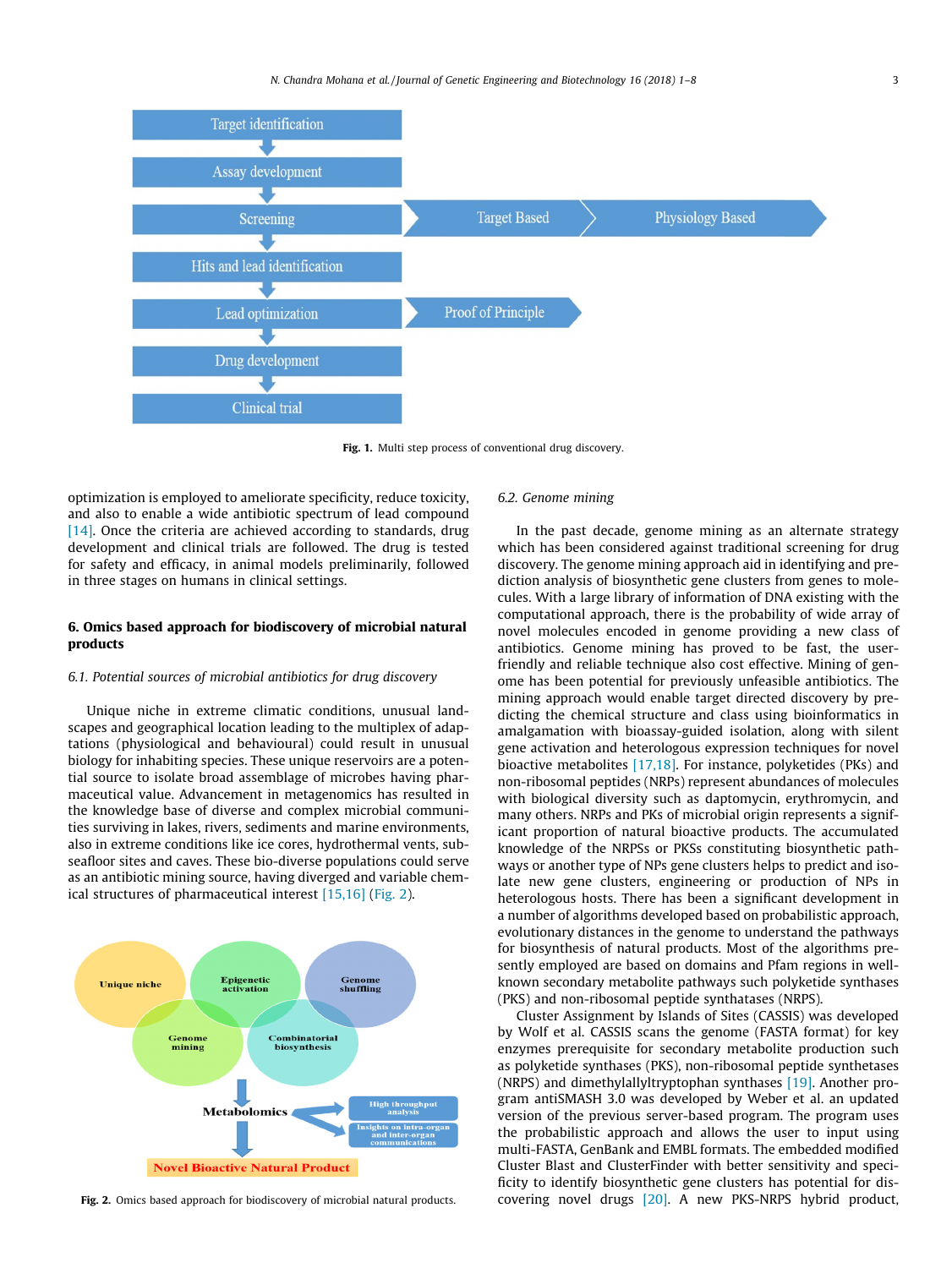<span id="page-2-0"></span>

Fig. 1. Multi step process of conventional drug discovery.

optimization is employed to ameliorate specificity, reduce toxicity, and also to enable a wide antibiotic spectrum of lead compound [\[14\].](#page-6-0) Once the criteria are achieved according to standards, drug development and clinical trials are followed. The drug is tested for safety and efficacy, in animal models preliminarily, followed in three stages on humans in clinical settings.

# 6. Omics based approach for biodiscovery of microbial natural products

# 6.1. Potential sources of microbial antibiotics for drug discovery

Unique niche in extreme climatic conditions, unusual landscapes and geographical location leading to the multiplex of adaptations (physiological and behavioural) could result in unusual biology for inhabiting species. These unique reservoirs are a potential source to isolate broad assemblage of microbes having pharmaceutical value. Advancement in metagenomics has resulted in the knowledge base of diverse and complex microbial communities surviving in lakes, rivers, sediments and marine environments, also in extreme conditions like ice cores, hydrothermal vents, subseafloor sites and caves. These bio-diverse populations could serve as an antibiotic mining source, having diverged and variable chemical structures of pharmaceutical interest [\[15,16\]](#page-6-0) (Fig. 2).



Fig. 2. Omics based approach for biodiscovery of microbial natural products.

# 6.2. Genome mining

In the past decade, genome mining as an alternate strategy which has been considered against traditional screening for drug discovery. The genome mining approach aid in identifying and prediction analysis of biosynthetic gene clusters from genes to molecules. With a large library of information of DNA existing with the computational approach, there is the probability of wide array of novel molecules encoded in genome providing a new class of antibiotics. Genome mining has proved to be fast, the userfriendly and reliable technique also cost effective. Mining of genome has been potential for previously unfeasible antibiotics. The mining approach would enable target directed discovery by predicting the chemical structure and class using bioinformatics in amalgamation with bioassay-guided isolation, along with silent gene activation and heterologous expression techniques for novel bioactive metabolites [\[17,18\]](#page-6-0). For instance, polyketides (PKs) and non-ribosomal peptides (NRPs) represent abundances of molecules with biological diversity such as daptomycin, erythromycin, and many others. NRPs and PKs of microbial origin represents a significant proportion of natural bioactive products. The accumulated knowledge of the NRPSs or PKSs constituting biosynthetic pathways or another type of NPs gene clusters helps to predict and isolate new gene clusters, engineering or production of NPs in heterologous hosts. There has been a significant development in a number of algorithms developed based on probabilistic approach, evolutionary distances in the genome to understand the pathways for biosynthesis of natural products. Most of the algorithms presently employed are based on domains and Pfam regions in wellknown secondary metabolite pathways such polyketide synthases (PKS) and non-ribosomal peptide synthatases (NRPS).

Cluster Assignment by Islands of Sites (CASSIS) was developed by Wolf et al. CASSIS scans the genome (FASTA format) for key enzymes prerequisite for secondary metabolite production such as polyketide synthases (PKS), non-ribosomal peptide synthetases (NRPS) and dimethylallyltryptophan synthases [\[19\]](#page-6-0). Another program antiSMASH 3.0 was developed by Weber et al. an updated version of the previous server-based program. The program uses the probabilistic approach and allows the user to input using multi-FASTA, GenBank and EMBL formats. The embedded modified Cluster Blast and ClusterFinder with better sensitivity and specificity to identify biosynthetic gene clusters has potential for discovering novel drugs [\[20\].](#page-6-0) A new PKS-NRPS hybrid product,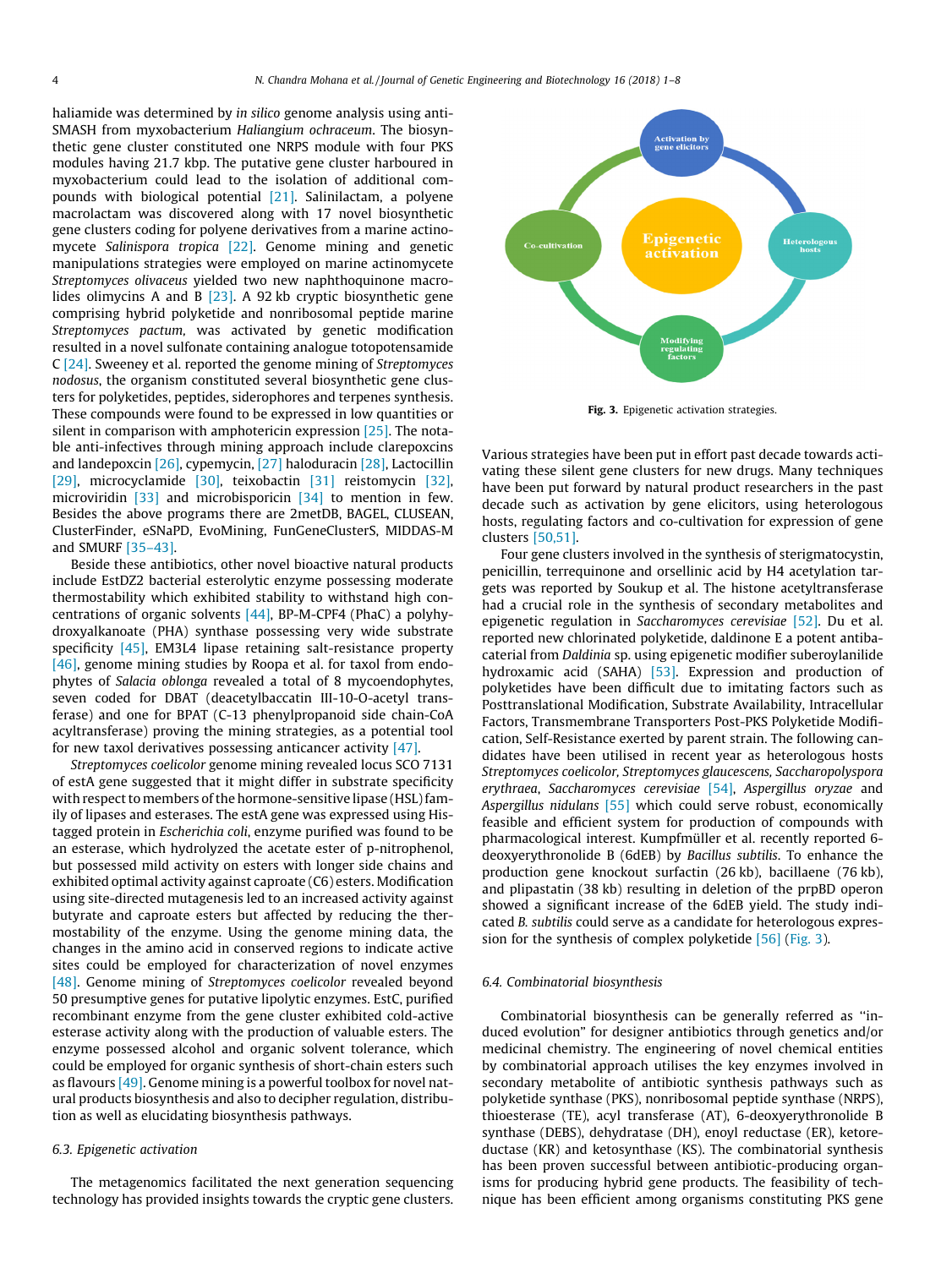haliamide was determined by in silico genome analysis using anti-SMASH from myxobacterium Haliangium ochraceum. The biosynthetic gene cluster constituted one NRPS module with four PKS modules having 21.7 kbp. The putative gene cluster harboured in myxobacterium could lead to the isolation of additional compounds with biological potential [\[21\]](#page-6-0). Salinilactam, a polyene macrolactam was discovered along with 17 novel biosynthetic gene clusters coding for polyene derivatives from a marine actinomycete Salinispora tropica [\[22\]](#page-6-0). Genome mining and genetic manipulations strategies were employed on marine actinomycete Streptomyces olivaceus yielded two new naphthoquinone macrolides olimycins A and B [\[23\].](#page-6-0) A 92 kb cryptic biosynthetic gene comprising hybrid polyketide and nonribosomal peptide marine Streptomyces pactum, was activated by genetic modification resulted in a novel sulfonate containing analogue totopotensamide C [\[24\]](#page-6-0). Sweeney et al. reported the genome mining of Streptomyces nodosus, the organism constituted several biosynthetic gene clusters for polyketides, peptides, siderophores and terpenes synthesis. These compounds were found to be expressed in low quantities or silent in comparison with amphotericin expression [\[25\]](#page-6-0). The notable anti-infectives through mining approach include clarepoxcins and landepoxcin [\[26\]](#page-6-0), cypemycin, [\[27\]](#page-6-0) haloduracin [\[28\]](#page-6-0), Lactocillin [\[29\]](#page-6-0), microcyclamide [\[30\],](#page-6-0) teixobactin [\[31\]](#page-6-0) reistomycin [\[32\],](#page-6-0) microviridin [\[33\]](#page-6-0) and microbisporicin [\[34\]](#page-6-0) to mention in few. Besides the above programs there are 2metDB, BAGEL, CLUSEAN, ClusterFinder, eSNaPD, EvoMining, FunGeneClusterS, MIDDAS-M and SMURF [\[35–43\].](#page-6-0)

Beside these antibiotics, other novel bioactive natural products include EstDZ2 bacterial esterolytic enzyme possessing moderate thermostability which exhibited stability to withstand high concentrations of organic solvents [\[44\]](#page-6-0), BP-M-CPF4 (PhaC) a polyhydroxyalkanoate (PHA) synthase possessing very wide substrate specificity [\[45\],](#page-6-0) EM3L4 lipase retaining salt-resistance property [\[46\]](#page-6-0), genome mining studies by Roopa et al. for taxol from endophytes of Salacia oblonga revealed a total of 8 mycoendophytes, seven coded for DBAT (deacetylbaccatin III-10-O-acetyl transferase) and one for BPAT (C-13 phenylpropanoid side chain-CoA acyltransferase) proving the mining strategies, as a potential tool for new taxol derivatives possessing anticancer activity [\[47\].](#page-6-0)

Streptomyces coelicolor genome mining revealed locus SCO 7131 of estA gene suggested that it might differ in substrate specificity with respect to members of the hormone-sensitive lipase (HSL) family of lipases and esterases. The estA gene was expressed using Histagged protein in Escherichia coli, enzyme purified was found to be an esterase, which hydrolyzed the acetate ester of p-nitrophenol, but possessed mild activity on esters with longer side chains and exhibited optimal activity against caproate (C6) esters. Modification using site-directed mutagenesis led to an increased activity against butyrate and caproate esters but affected by reducing the thermostability of the enzyme. Using the genome mining data, the changes in the amino acid in conserved regions to indicate active sites could be employed for characterization of novel enzymes [\[48\]](#page-6-0). Genome mining of Streptomyces coelicolor revealed beyond 50 presumptive genes for putative lipolytic enzymes. EstC, purified recombinant enzyme from the gene cluster exhibited cold-active esterase activity along with the production of valuable esters. The enzyme possessed alcohol and organic solvent tolerance, which could be employed for organic synthesis of short-chain esters such as flavours [\[49\]](#page-6-0). Genome mining is a powerful toolbox for novel natural products biosynthesis and also to decipher regulation, distribution as well as elucidating biosynthesis pathways.

### 6.3. Epigenetic activation

The metagenomics facilitated the next generation sequencing technology has provided insights towards the cryptic gene clusters.



Fig. 3. Epigenetic activation strategies.

Various strategies have been put in effort past decade towards activating these silent gene clusters for new drugs. Many techniques have been put forward by natural product researchers in the past decade such as activation by gene elicitors, using heterologous hosts, regulating factors and co-cultivation for expression of gene clusters [\[50,51\]](#page-6-0).

Four gene clusters involved in the synthesis of sterigmatocystin, penicillin, terrequinone and orsellinic acid by H4 acetylation targets was reported by Soukup et al. The histone acetyltransferase had a crucial role in the synthesis of secondary metabolites and epigenetic regulation in Saccharomyces cerevisiae [\[52\].](#page-6-0) Du et al. reported new chlorinated polyketide, daldinone E a potent antibacaterial from Daldinia sp. using epigenetic modifier suberoylanilide hydroxamic acid (SAHA) [\[53\].](#page-6-0) Expression and production of polyketides have been difficult due to imitating factors such as Posttranslational Modification, Substrate Availability, Intracellular Factors, Transmembrane Transporters Post-PKS Polyketide Modification, Self-Resistance exerted by parent strain. The following candidates have been utilised in recent year as heterologous hosts Streptomyces coelicolor, Streptomyces glaucescens, Saccharopolyspora erythraea, Saccharomyces cerevisiae [\[54\],](#page-6-0) Aspergillus oryzae and Aspergillus nidulans [\[55\]](#page-6-0) which could serve robust, economically feasible and efficient system for production of compounds with pharmacological interest. Kumpfmüller et al. recently reported 6 deoxyerythronolide B (6dEB) by Bacillus subtilis. To enhance the production gene knockout surfactin (26 kb), bacillaene (76 kb), and plipastatin (38 kb) resulting in deletion of the prpBD operon showed a significant increase of the 6dEB yield. The study indicated B. subtilis could serve as a candidate for heterologous expression for the synthesis of complex polyketide [\[56\]](#page-6-0) (Fig. 3).

#### 6.4. Combinatorial biosynthesis

Combinatorial biosynthesis can be generally referred as ''induced evolution" for designer antibiotics through genetics and/or medicinal chemistry. The engineering of novel chemical entities by combinatorial approach utilises the key enzymes involved in secondary metabolite of antibiotic synthesis pathways such as polyketide synthase (PKS), nonribosomal peptide synthase (NRPS), thioesterase (TE), acyl transferase (AT), 6-deoxyerythronolide B synthase (DEBS), dehydratase (DH), enoyl reductase (ER), ketoreductase (KR) and ketosynthase (KS). The combinatorial synthesis has been proven successful between antibiotic-producing organisms for producing hybrid gene products. The feasibility of technique has been efficient among organisms constituting PKS gene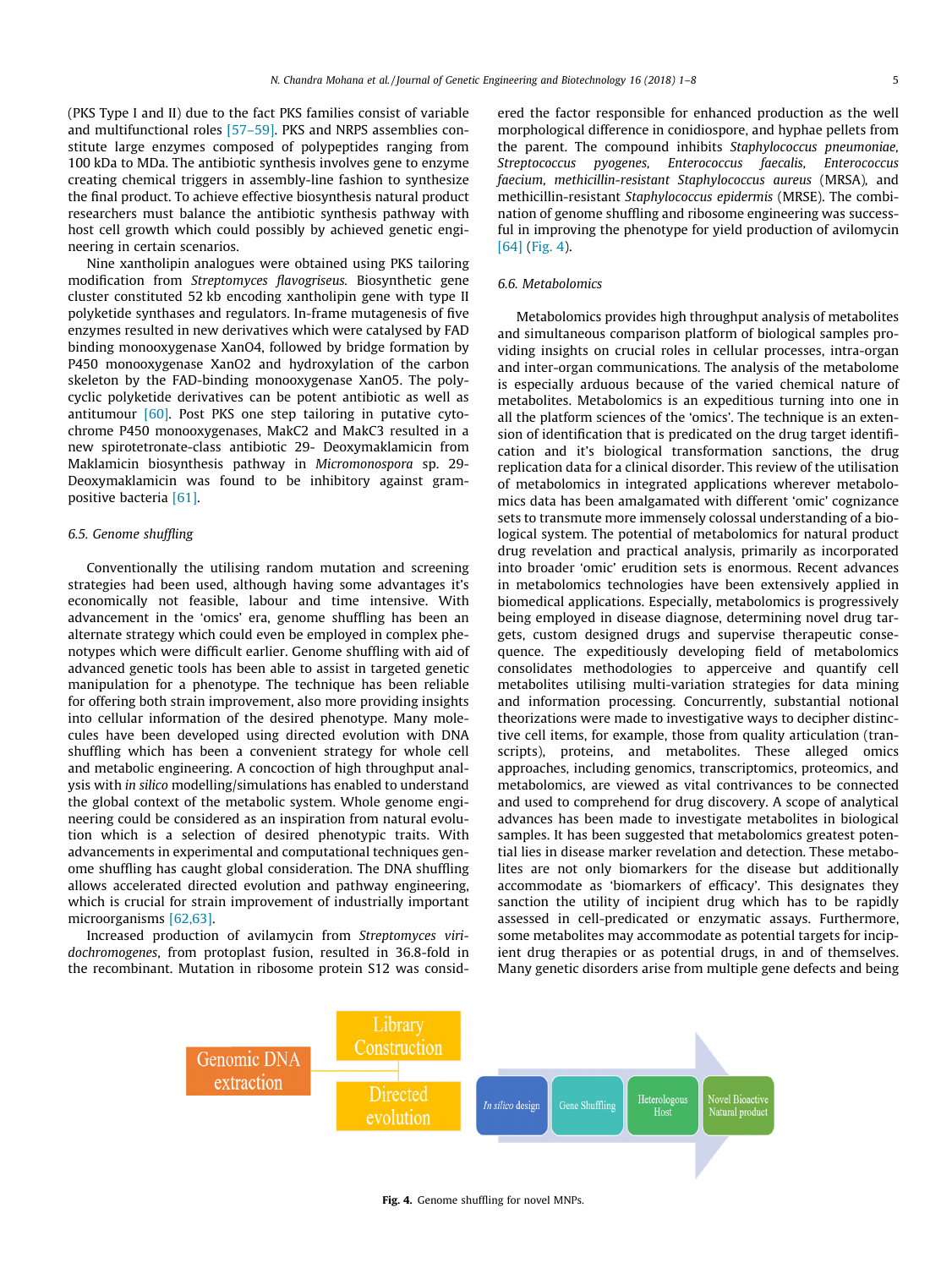(PKS Type I and II) due to the fact PKS families consist of variable and multifunctional roles [\[57–59\].](#page-6-0) PKS and NRPS assemblies constitute large enzymes composed of polypeptides ranging from 100 kDa to MDa. The antibiotic synthesis involves gene to enzyme creating chemical triggers in assembly-line fashion to synthesize the final product. To achieve effective biosynthesis natural product researchers must balance the antibiotic synthesis pathway with host cell growth which could possibly by achieved genetic engineering in certain scenarios.

Nine xantholipin analogues were obtained using PKS tailoring modification from Streptomyces flavogriseus. Biosynthetic gene cluster constituted 52 kb encoding xantholipin gene with type II polyketide synthases and regulators. In-frame mutagenesis of five enzymes resulted in new derivatives which were catalysed by FAD binding monooxygenase XanO4, followed by bridge formation by P450 monooxygenase XanO2 and hydroxylation of the carbon skeleton by the FAD-binding monooxygenase XanO5. The polycyclic polyketide derivatives can be potent antibiotic as well as antitumour [\[60\].](#page-6-0) Post PKS one step tailoring in putative cytochrome P450 monooxygenases, MakC2 and MakC3 resulted in a new spirotetronate-class antibiotic 29- Deoxymaklamicin from Maklamicin biosynthesis pathway in Micromonospora sp. 29- Deoxymaklamicin was found to be inhibitory against grampositive bacteria [\[61\]](#page-6-0).

# 6.5. Genome shuffling

Conventionally the utilising random mutation and screening strategies had been used, although having some advantages it's economically not feasible, labour and time intensive. With advancement in the 'omics' era, genome shuffling has been an alternate strategy which could even be employed in complex phenotypes which were difficult earlier. Genome shuffling with aid of advanced genetic tools has been able to assist in targeted genetic manipulation for a phenotype. The technique has been reliable for offering both strain improvement, also more providing insights into cellular information of the desired phenotype. Many molecules have been developed using directed evolution with DNA shuffling which has been a convenient strategy for whole cell and metabolic engineering. A concoction of high throughput analysis with in silico modelling/simulations has enabled to understand the global context of the metabolic system. Whole genome engineering could be considered as an inspiration from natural evolution which is a selection of desired phenotypic traits. With advancements in experimental and computational techniques genome shuffling has caught global consideration. The DNA shuffling allows accelerated directed evolution and pathway engineering, which is crucial for strain improvement of industrially important microorganisms [\[62,63\].](#page-6-0)

Increased production of avilamycin from Streptomyces viridochromogenes, from protoplast fusion, resulted in 36.8-fold in the recombinant. Mutation in ribosome protein S12 was consid-

ered the factor responsible for enhanced production as the well morphological difference in conidiospore, and hyphae pellets from the parent. The compound inhibits Staphylococcus pneumoniae, Streptococcus pyogenes, Enterococcus faecalis, Enterococcus faecium, methicillin-resistant Staphylococcus aureus (MRSA), and methicillin-resistant Staphylococcus epidermis (MRSE). The combination of genome shuffling and ribosome engineering was successful in improving the phenotype for yield production of avilomycin [\[64\]](#page-6-0) (Fig. 4).

# 6.6. Metabolomics

Metabolomics provides high throughput analysis of metabolites and simultaneous comparison platform of biological samples providing insights on crucial roles in cellular processes, intra-organ and inter-organ communications. The analysis of the metabolome is especially arduous because of the varied chemical nature of metabolites. Metabolomics is an expeditious turning into one in all the platform sciences of the 'omics'. The technique is an extension of identification that is predicated on the drug target identification and it's biological transformation sanctions, the drug replication data for a clinical disorder. This review of the utilisation of metabolomics in integrated applications wherever metabolomics data has been amalgamated with different 'omic' cognizance sets to transmute more immensely colossal understanding of a biological system. The potential of metabolomics for natural product drug revelation and practical analysis, primarily as incorporated into broader 'omic' erudition sets is enormous. Recent advances in metabolomics technologies have been extensively applied in biomedical applications. Especially, metabolomics is progressively being employed in disease diagnose, determining novel drug targets, custom designed drugs and supervise therapeutic consequence. The expeditiously developing field of metabolomics consolidates methodologies to apperceive and quantify cell metabolites utilising multi-variation strategies for data mining and information processing. Concurrently, substantial notional theorizations were made to investigative ways to decipher distinctive cell items, for example, those from quality articulation (transcripts), proteins, and metabolites. These alleged omics approaches, including genomics, transcriptomics, proteomics, and metabolomics, are viewed as vital contrivances to be connected and used to comprehend for drug discovery. A scope of analytical advances has been made to investigate metabolites in biological samples. It has been suggested that metabolomics greatest potential lies in disease marker revelation and detection. These metabolites are not only biomarkers for the disease but additionally accommodate as 'biomarkers of efficacy'. This designates they sanction the utility of incipient drug which has to be rapidly assessed in cell-predicated or enzymatic assays. Furthermore, some metabolites may accommodate as potential targets for incipient drug therapies or as potential drugs, in and of themselves. Many genetic disorders arise from multiple gene defects and being



Fig. 4. Genome shuffling for novel MNPs.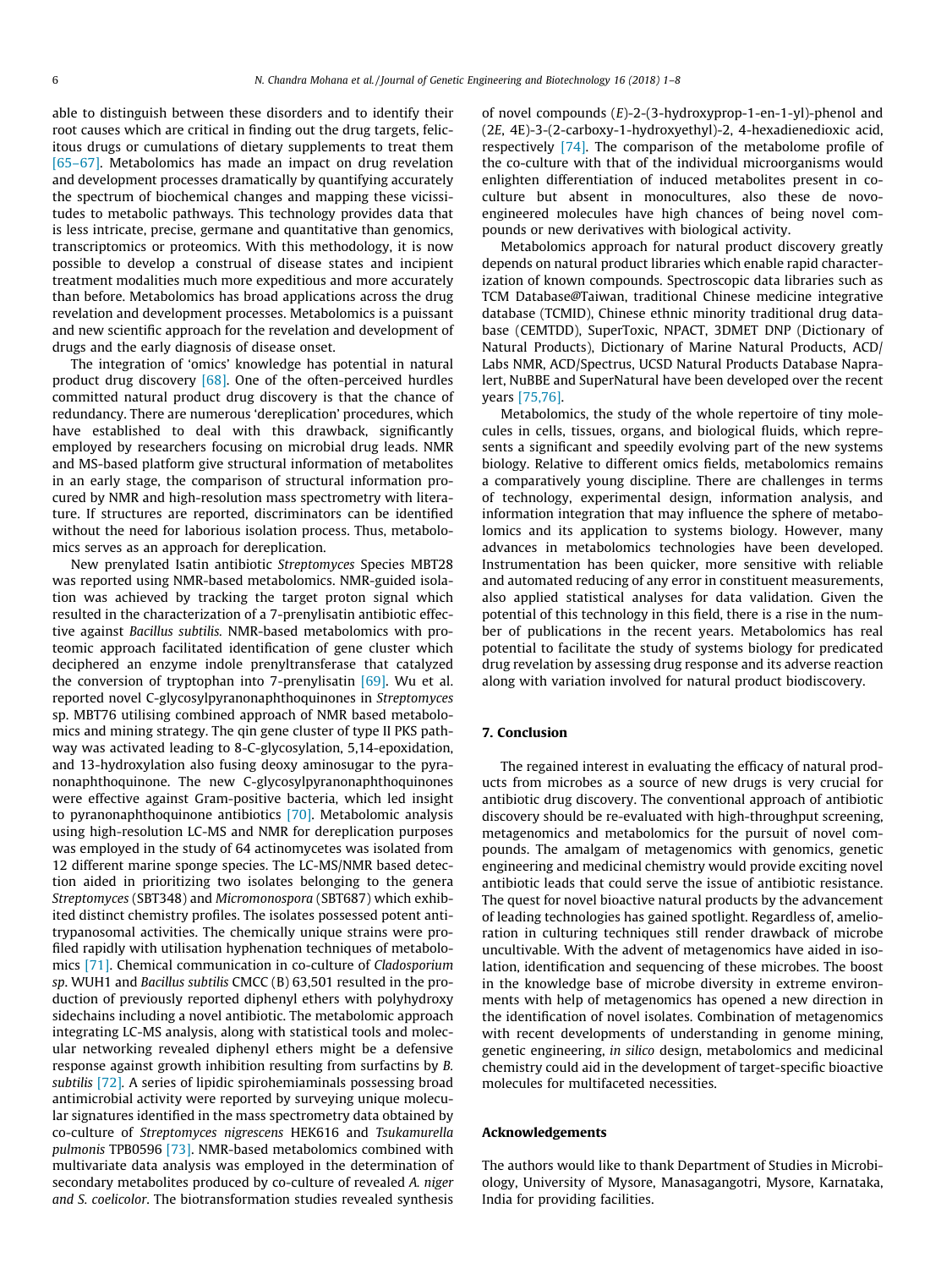able to distinguish between these disorders and to identify their root causes which are critical in finding out the drug targets, felicitous drugs or cumulations of dietary supplements to treat them [\[65–67\]](#page-6-0). Metabolomics has made an impact on drug revelation and development processes dramatically by quantifying accurately the spectrum of biochemical changes and mapping these vicissitudes to metabolic pathways. This technology provides data that is less intricate, precise, germane and quantitative than genomics, transcriptomics or proteomics. With this methodology, it is now possible to develop a construal of disease states and incipient treatment modalities much more expeditious and more accurately than before. Metabolomics has broad applications across the drug revelation and development processes. Metabolomics is a puissant and new scientific approach for the revelation and development of drugs and the early diagnosis of disease onset.

The integration of 'omics' knowledge has potential in natural product drug discovery [\[68\].](#page-7-0) One of the often-perceived hurdles committed natural product drug discovery is that the chance of redundancy. There are numerous 'dereplication' procedures, which have established to deal with this drawback, significantly employed by researchers focusing on microbial drug leads. NMR and MS-based platform give structural information of metabolites in an early stage, the comparison of structural information procured by NMR and high-resolution mass spectrometry with literature. If structures are reported, discriminators can be identified without the need for laborious isolation process. Thus, metabolomics serves as an approach for dereplication.

New prenylated Isatin antibiotic Streptomyces Species MBT28 was reported using NMR-based metabolomics. NMR-guided isolation was achieved by tracking the target proton signal which resulted in the characterization of a 7-prenylisatin antibiotic effective against Bacillus subtilis. NMR-based metabolomics with proteomic approach facilitated identification of gene cluster which deciphered an enzyme indole prenyltransferase that catalyzed the conversion of tryptophan into 7-prenylisatin [\[69\]](#page-7-0). Wu et al. reported novel C-glycosylpyranonaphthoquinones in Streptomyces sp. MBT76 utilising combined approach of NMR based metabolomics and mining strategy. The qin gene cluster of type II PKS pathway was activated leading to 8-C-glycosylation, 5,14-epoxidation, and 13-hydroxylation also fusing deoxy aminosugar to the pyranonaphthoquinone. The new C-glycosylpyranonaphthoquinones were effective against Gram-positive bacteria, which led insight to pyranonaphthoquinone antibiotics [\[70\].](#page-7-0) Metabolomic analysis using high-resolution LC-MS and NMR for dereplication purposes was employed in the study of 64 actinomycetes was isolated from 12 different marine sponge species. The LC-MS/NMR based detection aided in prioritizing two isolates belonging to the genera Streptomyces (SBT348) and Micromonospora (SBT687) which exhibited distinct chemistry profiles. The isolates possessed potent antitrypanosomal activities. The chemically unique strains were profiled rapidly with utilisation hyphenation techniques of metabolomics [\[71\].](#page-7-0) Chemical communication in co-culture of Cladosporium sp. WUH1 and Bacillus subtilis CMCC (B) 63,501 resulted in the production of previously reported diphenyl ethers with polyhydroxy sidechains including a novel antibiotic. The metabolomic approach integrating LC-MS analysis, along with statistical tools and molecular networking revealed diphenyl ethers might be a defensive response against growth inhibition resulting from surfactins by B. subtilis [\[72\]](#page-7-0). A series of lipidic spirohemiaminals possessing broad antimicrobial activity were reported by surveying unique molecular signatures identified in the mass spectrometry data obtained by co-culture of Streptomyces nigrescens HEK616 and Tsukamurella pulmonis TPB0596 [\[73\].](#page-7-0) NMR-based metabolomics combined with multivariate data analysis was employed in the determination of secondary metabolites produced by co-culture of revealed A. niger and S. coelicolor. The biotransformation studies revealed synthesis of novel compounds (E)-2-(3-hydroxyprop-1-en-1-yl)-phenol and (2E, 4E)-3-(2-carboxy-1-hydroxyethyl)-2, 4-hexadienedioxic acid, respectively [\[74\].](#page-7-0) The comparison of the metabolome profile of the co-culture with that of the individual microorganisms would enlighten differentiation of induced metabolites present in coculture but absent in monocultures, also these de novoengineered molecules have high chances of being novel compounds or new derivatives with biological activity.

Metabolomics approach for natural product discovery greatly depends on natural product libraries which enable rapid characterization of known compounds. Spectroscopic data libraries such as TCM Database@Taiwan, traditional Chinese medicine integrative database (TCMID), Chinese ethnic minority traditional drug database (CEMTDD), SuperToxic, NPACT, 3DMET DNP (Dictionary of Natural Products), Dictionary of Marine Natural Products, ACD/ Labs NMR, ACD/Spectrus, UCSD Natural Products Database Napralert, NuBBE and SuperNatural have been developed over the recent years [\[75,76\]](#page-7-0).

Metabolomics, the study of the whole repertoire of tiny molecules in cells, tissues, organs, and biological fluids, which represents a significant and speedily evolving part of the new systems biology. Relative to different omics fields, metabolomics remains a comparatively young discipline. There are challenges in terms of technology, experimental design, information analysis, and information integration that may influence the sphere of metabolomics and its application to systems biology. However, many advances in metabolomics technologies have been developed. Instrumentation has been quicker, more sensitive with reliable and automated reducing of any error in constituent measurements, also applied statistical analyses for data validation. Given the potential of this technology in this field, there is a rise in the number of publications in the recent years. Metabolomics has real potential to facilitate the study of systems biology for predicated drug revelation by assessing drug response and its adverse reaction along with variation involved for natural product biodiscovery.

# 7. Conclusion

The regained interest in evaluating the efficacy of natural products from microbes as a source of new drugs is very crucial for antibiotic drug discovery. The conventional approach of antibiotic discovery should be re-evaluated with high-throughput screening, metagenomics and metabolomics for the pursuit of novel compounds. The amalgam of metagenomics with genomics, genetic engineering and medicinal chemistry would provide exciting novel antibiotic leads that could serve the issue of antibiotic resistance. The quest for novel bioactive natural products by the advancement of leading technologies has gained spotlight. Regardless of, amelioration in culturing techniques still render drawback of microbe uncultivable. With the advent of metagenomics have aided in isolation, identification and sequencing of these microbes. The boost in the knowledge base of microbe diversity in extreme environments with help of metagenomics has opened a new direction in the identification of novel isolates. Combination of metagenomics with recent developments of understanding in genome mining, genetic engineering, in silico design, metabolomics and medicinal chemistry could aid in the development of target-specific bioactive molecules for multifaceted necessities.

### Acknowledgements

The authors would like to thank Department of Studies in Microbiology, University of Mysore, Manasagangotri, Mysore, Karnataka, India for providing facilities.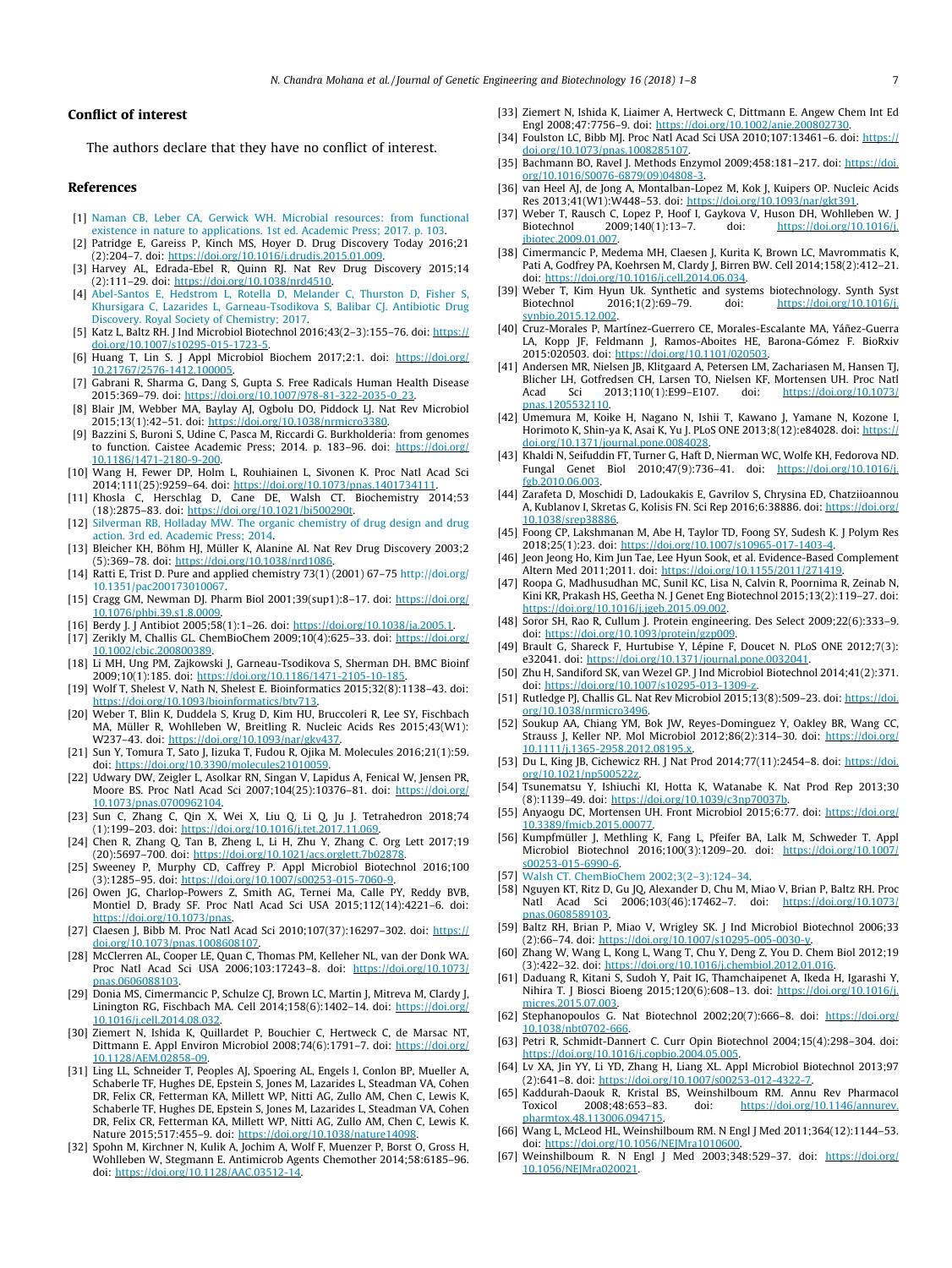# <span id="page-6-0"></span>Conflict of interest

The authors declare that they have no conflict of interest.

#### References

- [1] [Naman CB, Leber CA, Gerwick WH. Microbial resources: from functional](http://refhub.elsevier.com/S1687-157X(18)30006-4/h0005) [existence in nature to applications. 1st ed. Academic Press; 2017. p. 103](http://refhub.elsevier.com/S1687-157X(18)30006-4/h0005).
- [2] Patridge E, Gareiss P, Kinch MS, Hoyer D. Drug Discovery Today 2016;21 (2):204–7. doi: <https://doi.org/10.1016/j.drudis.2015.01.009>.
- [3] Harvey AL, Edrada-Ebel R, Quinn RJ. Nat Rev Drug Discovery 2015;14 (2):111–29. doi: <https://doi.org/10.1038/nrd4510>.
- [4] [Abel-Santos E, Hedstrom L, Rotella D, Melander C, Thurston D, Fisher S,](http://refhub.elsevier.com/S1687-157X(18)30006-4/h0020) [Khursigara C, Lazarides L, Garneau-Tsodikova S, Balibar CJ. Antibiotic Drug](http://refhub.elsevier.com/S1687-157X(18)30006-4/h0020) [Discovery. Royal Society of Chemistry; 2017](http://refhub.elsevier.com/S1687-157X(18)30006-4/h0020).
- [5] Katz L, Baltz RH. J Ind Microbiol Biotechnol 2016;43(2–3):155–76. doi: [https://](https://doi.org/10.1007/s10295-015-1723-5) doi.org/10.1007/s10295-015-1723-
- [6] Huang T, Lin S. J Appl Microbiol Biochem 2017;2:1. doi: [https://doi.org/](https://doi.org/10.21767/2576-1412.100005) [10.21767/2576-1412.100005](https://doi.org/10.21767/2576-1412.100005).
- [7] Gabrani R, Sharma G, Dang S, Gupta S. Free Radicals Human Health Disease 2015:369-79. doi: https://doi.org/10.1007/978-81-322-2035-0\_2
- [8] Blair JM, Webber MA, Baylay AJ, Ogbolu DO, Piddock LJ. Nat Rev Microbiol 2015;13(1):42-51. doi: https://doi.org/10.1038/nrmicro33
- [9] Bazzini S, Buroni S, Udine C, Pasca M, Riccardi G. Burkholderia: from genomes to function. Caistee Academic Press; 2014. p. 183-96. doi: [https://doi.org/](https://doi.org/10.1186/1471-2180-9-200) [10.1186/1471-2180-9-200.](https://doi.org/10.1186/1471-2180-9-200)
- [10] Wang H, Fewer DP, Holm L, Rouhiainen L, Sivonen K. Proc Natl Acad Sci 2014;111(25):9259–64. doi: [https://doi.org/10.1073/pnas.1401734111.](https://doi.org/10.1073/pnas.1401734111)
- [11] Khosla C, Herschlag D, Cane DE, Walsh CT. Biochemistry 2014;53 (18):2875–83. doi: [https://doi.org/10.1021/bi500290t.](https://doi.org/10.1021/bi500290t)
- [12] [Silverman RB, Holladay MW. The organic chemistry of drug design and drug](http://refhub.elsevier.com/S1687-157X(18)30006-4/h0060) [action. 3rd ed. Academic Press; 2014.](http://refhub.elsevier.com/S1687-157X(18)30006-4/h0060)
- [13] Bleicher KH, Böhm HJ, Müller K, Alanine AI. Nat Rev Drug Discovery 2003;2 (5):369–78. doi: <https://doi.org/10.1038/nrd1086>.
- [14] Ratti E, Trist D. Pure and applied chemistry 73(1) (2001) 67–75 [http://doi.org/](https://doi.org/10.1351/pac200173010067) [10.1351/pac200173010067.](https://doi.org/10.1351/pac200173010067)
- [15] Cragg GM, Newman DJ. Pharm Biol 2001;39(sup1):8-17. doi: [https://doi.org/](https://doi.org/10.1076/phbi.39.s1.8.0009) [10.1076/phbi.39.s1.8.0009.](https://doi.org/10.1076/phbi.39.s1.8.0009)
- Berdy J. J Antibiot 2005;58(1):1–26. doi: [https://doi.org/10.1038/ja.2005.1.](https://doi.org/10.1038/ja.2005.1)
- [17] Zerikly M, Challis GL. ChemBioChem 2009;10(4):625–33. doi: [https://doi.org/](https://doi.org/10.1002/cbic.200800389) [10.1002/cbic.200800389](https://doi.org/10.1002/cbic.200800389).
- [18] Li MH, Ung PM, Zajkowski J, Garneau-Tsodikova S, Sherman DH. BMC Bioinf 2009;10(1):185. doi: <https://doi.org/10.1186/1471-2105-10-185>.
- [19] Wolf T, Shelest V, Nath N, Shelest E. Bioinformatics 2015;32(8):1138–43. doi: <https://doi.org/10.1093/bioinformatics/btv713>.
- [20] Weber T, Blin K, Duddela S, Krug D, Kim HU, Bruccoleri R, Lee SY, Fischbach MA, Müller R, Wohlleben W, Breitling R. Nucleic Acids Res 2015;43(W1): W237–43. doi: [https://doi.org/10.1093/nar/gkv437.](https://doi.org/10.1093/nar/gkv437)
- [21] Sun Y, Tomura T, Sato J, Iizuka T, Fudou R, Ojika M. Molecules 2016;21(1):59. doi: [https://doi.org/10.3390/molecules21010059.](https://doi.org/10.3390/molecules21010059)
- [22] Udwary DW, Zeigler L, Asolkar RN, Singan V, Lapidus A, Fenical W, Jensen PR, Moore BS. Proc Natl Acad Sci 2007;104(25):10376–81. doi: [https://doi.org/](https://doi.org/10.1073/pnas.0700962104) [10.1073/pnas.0700962104](https://doi.org/10.1073/pnas.0700962104).
- [23] Sun C, Zhang C, Qin X, Wei X, Liu Q, Li Q, Ju J. Tetrahedron 2018;74 (1):199–203. doi: [https://doi.org/10.1016/j.tet.2017.11.069.](https://doi.org/10.1016/j.tet.2017.11.069)
- [24] Chen R, Zhang Q, Tan B, Zheng L, Li H, Zhu Y, Zhang C. Org Lett 2017;19 (20):5697–700. doi: [https://doi.org/10.1021/acs.orglett.7b02878.](https://doi.org/10.1021/acs.orglett.7b02878)
- [25] Sweeney P, Murphy CD, Caffrey P. Appl Microbiol Biotechnol 2016;100 (3):1285–95. doi: <https://doi.org/10.1007/s00253-015-7060-9>.
- [26] Owen JG, Charlop-Powers Z, Smith AG, Ternei Ma, Calle PY, Reddy BVB, Montiel D, Brady SF. Proc Natl Acad Sci USA 2015;112(14):4221–6. doi: [https://doi.org/10.1073/pnas.](https://doi.org/10.1073/pnas)
- [27] Claesen J, Bibb M. Proc Natl Acad Sci 2010;107(37):16297-302. doi: [https://](https://doi.org/10.1073/pnas.1008608107) [doi.org/10.1073/pnas.1008608107.](https://doi.org/10.1073/pnas.1008608107)
- [28] McClerren AL, Cooper LE, Quan C, Thomas PM, Kelleher NL, van der Donk WA. Proc Natl Acad Sci USA 2006;103:17243–8. doi: [https://doi.org/10.1073/](https://doi.org/10.1073/pnas.0606088103) [pnas.0606088103.](https://doi.org/10.1073/pnas.0606088103)
- [29] Donia MS, Cimermancic P, Schulze CJ, Brown LC, Martin J, Mitreva M, Clardy J, Linington RG, Fischbach MA. Cell 2014;158(6):1402–14. doi: [https://doi.org/](https://doi.org/10.1016/j.cell.2014.08.032) [10.1016/j.cell.2014.08.032.](https://doi.org/10.1016/j.cell.2014.08.032)
- [30] Ziemert N, Ishida K, Quillardet P, Bouchier C, Hertweck C, de Marsac NT, Dittmann E. Appl Environ Microbiol 2008;74(6):1791–7. doi: [https://doi.org/](https://doi.org/10.1128/AEM.02858-09) [10.1128/AEM.02858-09.](https://doi.org/10.1128/AEM.02858-09)
- [31] Ling LL, Schneider T, Peoples AJ, Spoering AL, Engels I, Conlon BP, Mueller A, Schaberle TF, Hughes DE, Epstein S, Jones M, Lazarides L, Steadman VA, Cohen DR, Felix CR, Fetterman KA, Millett WP, Nitti AG, Zullo AM, Chen C, Lewis K, Schaberle TF, Hughes DE, Epstein S, Jones M, Lazarides L, Steadman VA, Cohen DR, Felix CR, Fetterman KA, Millett WP, Nitti AG, Zullo AM, Chen C, Lewis K. Nature 2015;517:455–9. doi: [https://doi.org/10.1038/nature14098.](https://doi.org/10.1038/nature14098)
- [32] Spohn M, Kirchner N, Kulik A, Jochim A, Wolf F, Muenzer P, Borst O, Gross H, Wohlleben W, Stegmann E. Antimicrob Agents Chemother 2014;58:6185–96. doi: <https://doi.org/10.1128/AAC.03512-14>.
- [33] Ziemert N, Ishida K, Liaimer A, Hertweck C, Dittmann E. Angew Chem Int Ed Engl 2008;47:7756-9. doi: https://doi.org/10.1002/an
- [34] Foulston LC, Bibb MJ. Proc Natl Acad Sci USA 2010;107:13461–6. doi: [https://](https://doi.org/10.1073/pnas.1008285107) [doi.org/10.1073/pnas.1008285107.](https://doi.org/10.1073/pnas.1008285107)
- [35] Bachmann BO, Ravel J. Methods Enzymol 2009;458:181–217. doi: [https://doi.](https://doi.org/10.1016/S0076-6879(09)04808-3) [org/10.1016/S0076-6879\(09\)04808-3](https://doi.org/10.1016/S0076-6879(09)04808-3).
- [36] van Heel AJ, de Jong A, Montalban-Lopez M, Kok J, Kuipers OP. Nucleic Acids Res 2013;41(W1):W448–53. doi: [https://doi.org/10.1093/nar/gkt391.](https://doi.org/10.1093/nar/gkt391)
- [37] Weber T, Rausch C, Lopez P, Hoof I, Gaykova V, Huson DH, Wohlleben W. J<br>Biotechnol 2009;140(1):13-7. doi: https://doi.org/10.1016/j. [https://doi.org/10.1016/j.](https://doi.org/10.1016/j.jbiotec.2009.01.007) [jbiotec.2009.01.007](https://doi.org/10.1016/j.jbiotec.2009.01.007).
- [38] Cimermancic P, Medema MH, Claesen J, Kurita K, Brown LC, Mavrommatis K, Pati A, Godfrey PA, Koehrsen M, Clardy J, Birren BW. Cell 2014;158(2):412–21. doi: [https://doi.org/10.1016/j.cell.2014.06.034.](https://doi.org/10.1016/j.cell.2014.06.034)
- [39] Weber T, Kim Hyun Uk. Synthetic and systems biotechnology. Synth Syst<br>Biotechnol 2016;1(2):69-79. doi: https://doi.org/10.1016/i. [https://doi.org/10.1016/j.](https://doi.org/10.1016/j.synbio.2015.12.002) [synbio.2015.12.002.](https://doi.org/10.1016/j.synbio.2015.12.002)
- [40] Cruz-Morales P, Martínez-Guerrero CE, Morales-Escalante MA, Yáñez-Guerra LA, Kopp JF, Feldmann J, Ramos-Aboites HE, Barona-Gómez F. BioRxiv 2015:020503. doi: <https://doi.org/10.1101/020503>.
- [41] Andersen MR, Nielsen JB, Klitgaard A, Petersen LM, Zachariasen M, Hansen TJ, Blicher LH, Gotfredsen CH, Larsen TO, Nielsen KF, Mortensen UH. Proc Natl<br>Acad Sci 2013:110(1):E99-E107. doi: https://doi.org/10.1073/ 2013;110(1):E99-E107. [pnas.1205532110.](https://doi.org/10.1073/pnas.1205532110)
- [42] Umemura M, Koike H, Nagano N, Ishii T, Kawano J, Yamane N, Kozone I, Horimoto K, Shin-ya K, Asai K, Yu J. PLoS ONE 2013;8(12):e84028. doi: [https://](https://doi.org/10.1371/journal.pone.0084028) [doi.org/10.1371/journal.pone.0084028](https://doi.org/10.1371/journal.pone.0084028).
- [43] Khaldi N, Seifuddin FT, Turner G, Haft D, Nierman WC, Wolfe KH, Fedorova ND. Fungal Genet Biol 2010;47(9):736–41. doi: [https://doi.org/10.1016/j.](https://doi.org/10.1016/j.fgb.2010.06.003) [fgb.2010.06.003](https://doi.org/10.1016/j.fgb.2010.06.003).
- [44] Zarafeta D, Moschidi D, Ladoukakis E, Gavrilov S, Chrysina ED, Chatziioannou A, Kublanov I, Skretas G, Kolisis FN. Sci Rep 2016;6:38886. doi: [https://doi.org/](https://doi.org/10.1038/srep38886) [10.1038/srep38886.](https://doi.org/10.1038/srep38886)
- [45] Foong CP, Lakshmanan M, Abe H, Taylor TD, Foong SY, Sudesh K. J Polym Res 2018;25(1):23. doi: <https://doi.org/10.1007/s10965-017-1403-4>.
- [46] Jeon Jeong Ho, Kim Jun Tae, Lee Hyun Sook, et al. Evidence-Based Complement Altern Med 2011;2011. doi: <https://doi.org/10.1155/2011/271419>.
- [47] Roopa G, Madhusudhan MC, Sunil KC, Lisa N, Calvin R, Poornima R, Zeinab N, Kini KR, Prakash HS, Geetha N. J Genet Eng Biotechnol 2015;13(2):119–27. doi: [https://doi.org/10.1016/j.jgeb.2015.09.002.](https://doi.org/10.1016/j.jgeb.2015.09.002)
- [48] Soror SH, Rao R, Cullum J. Protein engineering. Des Select 2009;22(6):333–9. doi: <https://doi.org/10.1093/protein/gzp009>.
- [49] Brault G, Shareck F, Hurtubise Y, Lépine F, Doucet N. PLoS ONE 2012;7(3): e32041. doi: <https://doi.org/10.1371/journal.pone.0032041>.
- [50] Zhu H, Sandiford SK, van Wezel GP. J Ind Microbiol Biotechnol 2014;41(2):371. doi: <https://doi.org/10.1007/s10295-013-1309-z>.
- [51] Rutledge PJ, Challis GL. Nat Rev Microbiol 2015;13(8):509–23. doi: [https://doi.](https://doi.org/10.1038/nrmicro3496) [org/10.1038/nrmicro3496](https://doi.org/10.1038/nrmicro3496).
- [52] Soukup AA, Chiang YM, Bok JW, Reyes-Dominguez Y, Oakley BR, Wang CC, Strauss J, Keller NP. Mol Microbiol 2012;86(2):314-30. doi: [https://doi.org/](https://doi.org/10.1111/j.1365-2958.2012.08195.x) [10.1111/j.1365-2958.2012.08195.x](https://doi.org/10.1111/j.1365-2958.2012.08195.x).
- [53] Du L, King JB, Cichewicz RH. J Nat Prod 2014;77(11):2454–8. doi: [https://doi.](https://doi.org/10.1021/np500522z) [org/10.1021/np500522z.](https://doi.org/10.1021/np500522z)
- [54] Tsunematsu Y, Ishiuchi KI, Hotta K, Watanabe K. Nat Prod Rep 2013;30 (8):1139–49. doi: [https://doi.org/10.1039/c3np70037b.](https://doi.org/10.1039/c3np70037b)
- [55] Anyaogu DC, Mortensen UH. Front Microbiol 2015;6:77. doi: [https://doi.org/](https://doi.org/10.3389/fmicb.2015.00077) [10.3389/fmicb.2015.00077](https://doi.org/10.3389/fmicb.2015.00077).
- [56] Kumpfmüller J, Methling K, Fang L, Pfeifer BA, Lalk M, Schweder T. Appl Microbiol Biotechnol 2016;100(3):1209–20. doi: [https://doi.org/10.1007/](https://doi.org/10.1007/s00253-015-6990-6) [s00253-015-6990-6](https://doi.org/10.1007/s00253-015-6990-6).
- [57] [Walsh CT. ChemBioChem 2002;3\(2–3\):124–34.](http://refhub.elsevier.com/S1687-157X(18)30006-4/h0285)
- [58] Nguyen KT, Ritz D, Gu JQ, Alexander D, Chu M, Miao V, Brian P, Baltz RH. Proc Natl Acad Sci 2006;103(46):17462–7. doi: [https://doi.org/10.1073/](https://doi.org/10.1073/pnas.0608589103) [pnas.0608589103.](https://doi.org/10.1073/pnas.0608589103)
- [59] Baltz RH, Brian P, Miao V, Wrigley SK. J Ind Microbiol Biotechnol 2006;33 (2):66–74. doi: <https://doi.org/10.1007/s10295-005-0030-y>.
- [60] Zhang W, Wang L, Kong L, Wang T, Chu Y, Deng Z, You D. Chem Biol 2012;19 (3):422–32. doi: [https://doi.org/10.1016/j.chembiol.2012.01.016.](https://doi.org/10.1016/j.chembiol.2012.01.016)
- [61] Daduang R, Kitani S, Sudoh Y, Pait IG, Thamchaipenet A, Ikeda H, Igarashi Y, Nihira T. J Biosci Bioeng 2015;120(6):608-13. doi: [https://doi.org/10.1016/j.](https://doi.org/10.1016/j.micres.2015.07.003) [micres.2015.07.003](https://doi.org/10.1016/j.micres.2015.07.003).
- [62] Stephanopoulos G. Nat Biotechnol 2002;20(7):666–8. doi: [https://doi.org/](https://doi.org/10.1038/nbt0702-666) [10.1038/nbt0702-666](https://doi.org/10.1038/nbt0702-666).
- [63] Petri R, Schmidt-Dannert C. Curr Opin Biotechnol 2004;15(4):298–304. doi: <https://doi.org/10.1016/j.copbio.2004.05.005>.
- [64] Lv XA, Jin YY, Li YD, Zhang H, Liang XL. Appl Microbiol Biotechnol 2013;97 (2):641–8. doi: [https://doi.org/10.1007/s00253-012-4322-7.](https://doi.org/10.1007/s00253-012-4322-7)
- [65] Kaddurah-Daouk R, Kristal BS, Weinshilboum RM. Annu Rev Pharmacol Toxicol 2008;48:653–83. doi: [https://doi.org/10.1146/annurev.](https://doi.org/10.1146/annurev.pharmtox.48.113006.094715) [pharmtox.48.113006.094715.](https://doi.org/10.1146/annurev.pharmtox.48.113006.094715)
- [66] Wang L, McLeod HL, Weinshilboum RM. N Engl J Med 2011;364(12):1144–53. doi: [https://doi.org/10.1056/NEJMra1010600.](https://doi.org/10.1056/NEJMra1010600)
- [67] Weinshilboum R. N Engl J Med 2003;348:529–37. doi: [https://doi.org/](https://doi.org/10.1056/NEJMra020021) [10.1056/NEJMra020021](https://doi.org/10.1056/NEJMra020021).